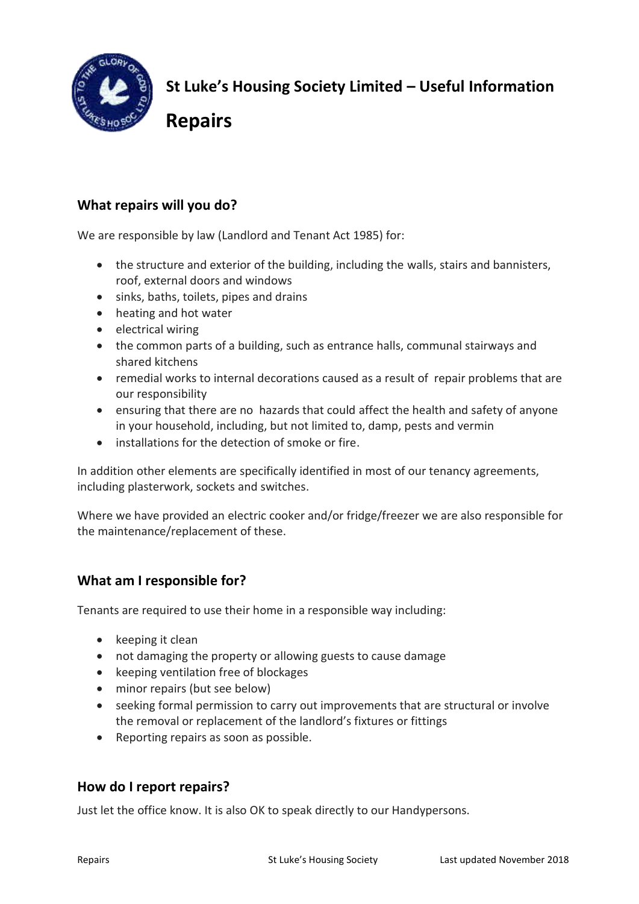

**St Luke's Housing Society Limited – Useful Information** 

**Repairs** 

# **What repairs will you do?**

We are responsible by law (Landlord and Tenant Act 1985) for:

- the structure and exterior of the building, including the walls, stairs and bannisters, roof, external doors and windows
- sinks, baths, toilets, pipes and drains
- heating and hot water
- electrical wiring
- the common parts of a building, such as entrance halls, communal stairways and shared kitchens
- remedial works to internal decorations caused as a result of repair problems that are our responsibility
- ensuring that there are no hazards that could [affect the health and safety of anyone](http://england.shelter.org.uk/housing_advice/repairs/health_and_safety_standards_for_rented_homes_hhsrs)  [in your household,](http://england.shelter.org.uk/housing_advice/repairs/health_and_safety_standards_for_rented_homes_hhsrs) including, but not limited to, damp, pests and vermin
- installations for the detection of smoke or fire.

In addition other elements are specifically identified in most of our tenancy agreements, including plasterwork, sockets and switches.

Where we have provided an electric cooker and/or fridge/freezer we are also responsible for the maintenance/replacement of these.

# **What am I responsible for?**

Tenants are required to use their home in a responsible way including:

- $\bullet$  keeping it clean
- not damaging the property or allowing guests to cause damage
- keeping ventilation free of blockages
- minor repairs (but see below)
- seeking formal permission to carry out improvements that are structural or involve the removal or replacement of the landlord's fixtures or fittings
- Reporting repairs as soon as possible.

# **How do I report repairs?**

Just let the office know. It is also OK to speak directly to our Handypersons.